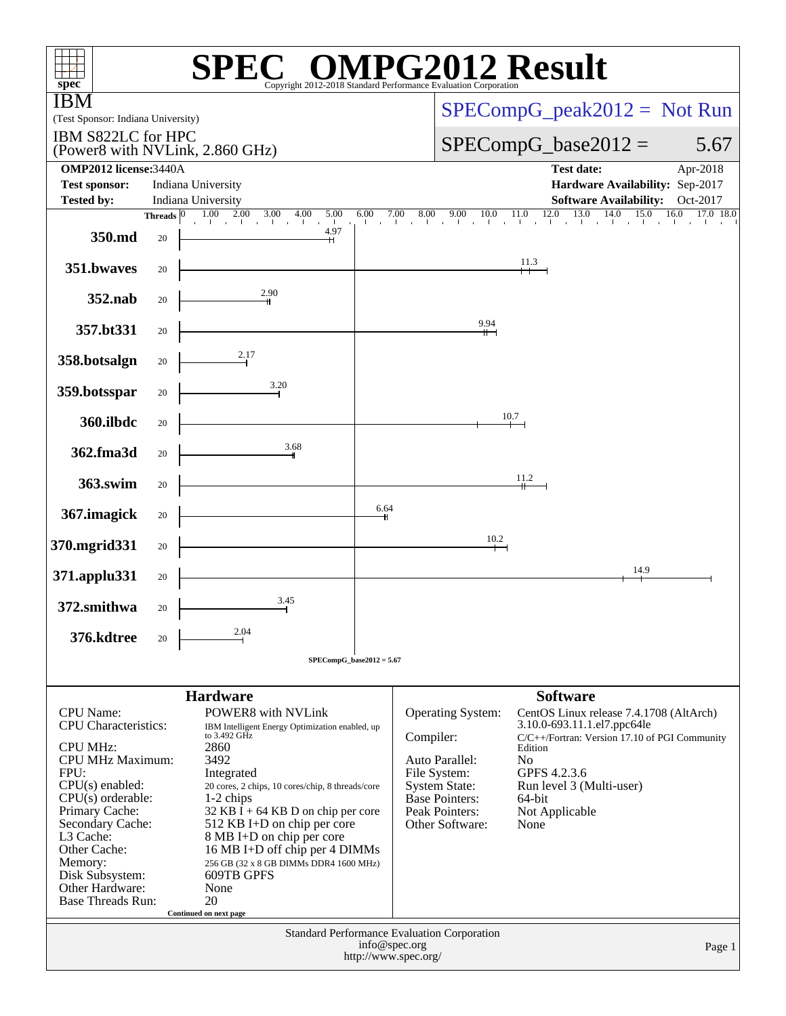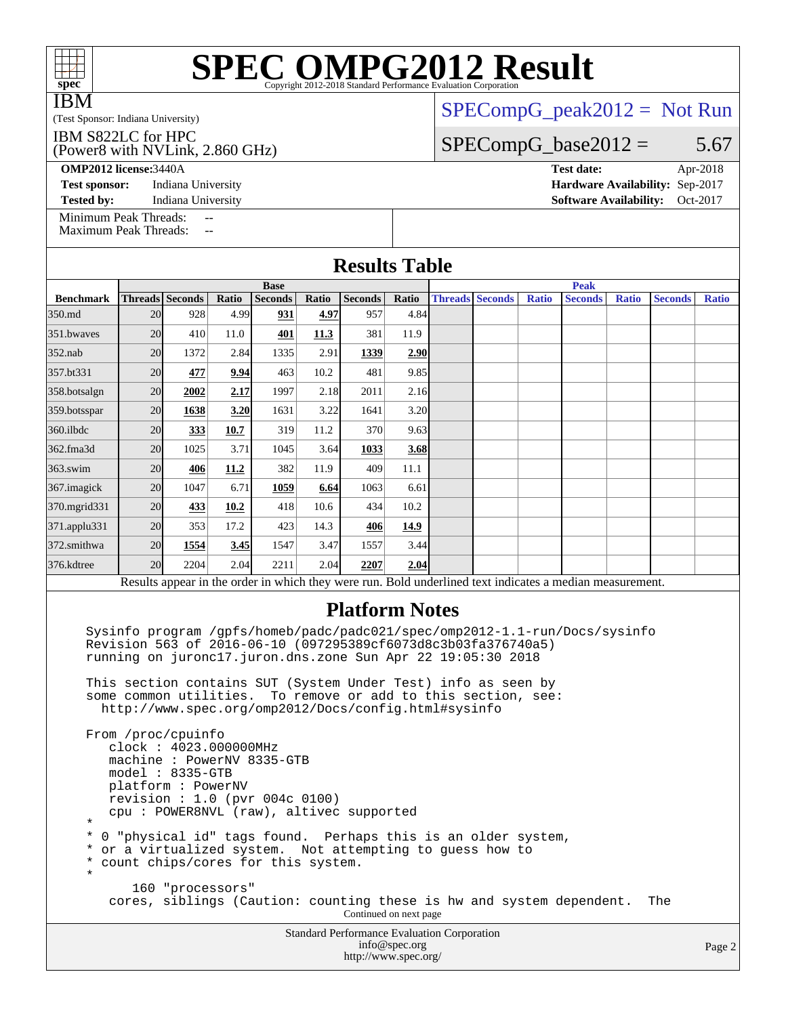| <b>IRM</b><br>(Test Sponsor: Indiana University)                                                                                                                                                       |    |                                                                                                                                                                                                            |       |                               |       |                       |       |  |                        | $SPECompG_peak2012 = Not Run$ |                                 |              |                |              |
|--------------------------------------------------------------------------------------------------------------------------------------------------------------------------------------------------------|----|------------------------------------------------------------------------------------------------------------------------------------------------------------------------------------------------------------|-------|-------------------------------|-------|-----------------------|-------|--|------------------------|-------------------------------|---------------------------------|--------------|----------------|--------------|
| IBM S822LC for HPC<br>(Power8 with NVLink, 2.860 GHz)                                                                                                                                                  |    |                                                                                                                                                                                                            |       |                               |       |                       |       |  |                        | $SPECompG_base2012 =$         |                                 |              | 5.67           |              |
| <b>OMP2012 license: 3440A</b>                                                                                                                                                                          |    |                                                                                                                                                                                                            |       |                               |       |                       |       |  |                        |                               | <b>Test date:</b>               |              |                | Apr-2018     |
| <b>Test sponsor:</b>                                                                                                                                                                                   |    | Indiana University                                                                                                                                                                                         |       |                               |       |                       |       |  |                        |                               | Hardware Availability: Sep-2017 |              |                |              |
| Tested by:                                                                                                                                                                                             |    | Indiana University                                                                                                                                                                                         |       |                               |       |                       |       |  |                        |                               | <b>Software Availability:</b>   |              |                | Oct-2017     |
| Minimum Peak Threads:<br><b>Maximum Peak Threads:</b>                                                                                                                                                  |    | $\overline{\phantom{a}}$                                                                                                                                                                                   |       |                               |       |                       |       |  |                        |                               |                                 |              |                |              |
| <b>Results Table</b>                                                                                                                                                                                   |    |                                                                                                                                                                                                            |       |                               |       |                       |       |  |                        |                               |                                 |              |                |              |
| <b>Benchmark</b>                                                                                                                                                                                       |    | <b>Threads</b> Seconds                                                                                                                                                                                     | Ratio | <b>Base</b><br><b>Seconds</b> | Ratio | <b>Seconds</b>        | Ratio |  | <b>Threads Seconds</b> | <b>Ratio</b>                  | <b>Peak</b><br><b>Seconds</b>   | <b>Ratio</b> | <b>Seconds</b> | <b>Ratio</b> |
| 350.md                                                                                                                                                                                                 | 20 | 928                                                                                                                                                                                                        | 4.99  | 931                           | 4.97  | 957                   | 4.84  |  |                        |                               |                                 |              |                |              |
| 351.bwayes                                                                                                                                                                                             | 20 | 410                                                                                                                                                                                                        | 11.0  | 401                           | 11.3  | 381                   | 11.9  |  |                        |                               |                                 |              |                |              |
| $352$ .nab                                                                                                                                                                                             | 20 | 1372                                                                                                                                                                                                       | 2.84  | 1335                          | 2.91  | 1339                  | 2.90  |  |                        |                               |                                 |              |                |              |
| 357.bt331                                                                                                                                                                                              | 20 | 477                                                                                                                                                                                                        | 9.94  | 463                           | 10.2  | 481                   | 9.85  |  |                        |                               |                                 |              |                |              |
| 358.botsalgn                                                                                                                                                                                           | 20 | 2002                                                                                                                                                                                                       | 2.17  | 1997                          | 2.18  | 2011                  | 2.16  |  |                        |                               |                                 |              |                |              |
| 359.botsspar                                                                                                                                                                                           | 20 | 1638                                                                                                                                                                                                       | 3.20  | 1631                          | 3.22  | 1641                  | 3.20  |  |                        |                               |                                 |              |                |              |
| 360.ilbdc                                                                                                                                                                                              | 20 | 333                                                                                                                                                                                                        | 10.7  | 319                           | 11.2  | 370                   | 9.63  |  |                        |                               |                                 |              |                |              |
| 362.fma3d                                                                                                                                                                                              | 20 | 1025                                                                                                                                                                                                       | 3.71  | 1045                          | 3.64  | 1033                  | 3.68  |  |                        |                               |                                 |              |                |              |
| $363$ .swim                                                                                                                                                                                            | 20 | 406                                                                                                                                                                                                        | 11.2  | 382                           | 11.9  | 409                   | 11.1  |  |                        |                               |                                 |              |                |              |
| 367.imagick                                                                                                                                                                                            | 20 | 1047                                                                                                                                                                                                       | 6.71  | 1059                          | 6.64  | 1063                  | 6.61  |  |                        |                               |                                 |              |                |              |
| 370.mgrid331                                                                                                                                                                                           | 20 | 433                                                                                                                                                                                                        | 10.2  | 418                           | 10.6  | 434                   | 10.2  |  |                        |                               |                                 |              |                |              |
| 371.applu331                                                                                                                                                                                           | 20 | 353                                                                                                                                                                                                        | 17.2  | 423                           | 14.3  | 406                   | 14.9  |  |                        |                               |                                 |              |                |              |
| 372.smithwa                                                                                                                                                                                            | 20 | 1554                                                                                                                                                                                                       | 3.45  | 1547                          | 3.47  | 1557                  | 3.44  |  |                        |                               |                                 |              |                |              |
| 376.kdtree                                                                                                                                                                                             | 20 | 2204                                                                                                                                                                                                       | 2.04  | 2211                          | 2.04  | 2207                  | 2.04  |  |                        |                               |                                 |              |                |              |
|                                                                                                                                                                                                        |    | Results appear in the order in which they were run. Bold underlined text indicates a median measurement.                                                                                                   |       |                               |       |                       |       |  |                        |                               |                                 |              |                |              |
|                                                                                                                                                                                                        |    | Sysinfo program /gpfs/homeb/padc/padc021/spec/omp2012-1.1-run/Docs/sysinfo<br>Revision 563 of 2016-06-10 (097295389cf6073d8c3b03fa376740a5)<br>running on juronc17.juron.dns.zone Sun Apr 22 19:05:30 2018 |       |                               |       | <b>Platform Notes</b> |       |  |                        |                               |                                 |              |                |              |
|                                                                                                                                                                                                        |    | This section contains SUT (System Under Test) info as seen by<br>some common utilities. To remove or add to this section, see:<br>http://www.spec.org/omp2012/Docs/config.html#sysinfo                     |       |                               |       |                       |       |  |                        |                               |                                 |              |                |              |
| From /proc/cpuinfo<br>clock: 4023.000000MHz<br>machine: PowerNV 8335-GTB<br>$model: 8335-GTB$<br>platform: PowerNV<br>revision : $1.0$ (pvr 004c 0100)<br>cpu: POWER8NVL (raw), altivec supported<br>¥ |    |                                                                                                                                                                                                            |       |                               |       |                       |       |  |                        |                               |                                 |              |                |              |
| *<br>*<br>¥                                                                                                                                                                                            |    | 0 "physical id" tags found. Perhaps this is an older system,<br>or a virtualized system. Not attempting to guess how to<br>count chips/cores for this system.                                              |       |                               |       |                       |       |  |                        |                               |                                 |              |                |              |
| 160 "processors"<br>cores, siblings (Caution: counting these is hw and system dependent.<br>The<br>Continued on next page                                                                              |    |                                                                                                                                                                                                            |       |                               |       |                       |       |  |                        |                               |                                 |              |                |              |

**[SPEC OMPG2012 Result](http://www.spec.org/auto/omp2012/Docs/result-fields.html#SPECOMPG2012Result)** 

IBM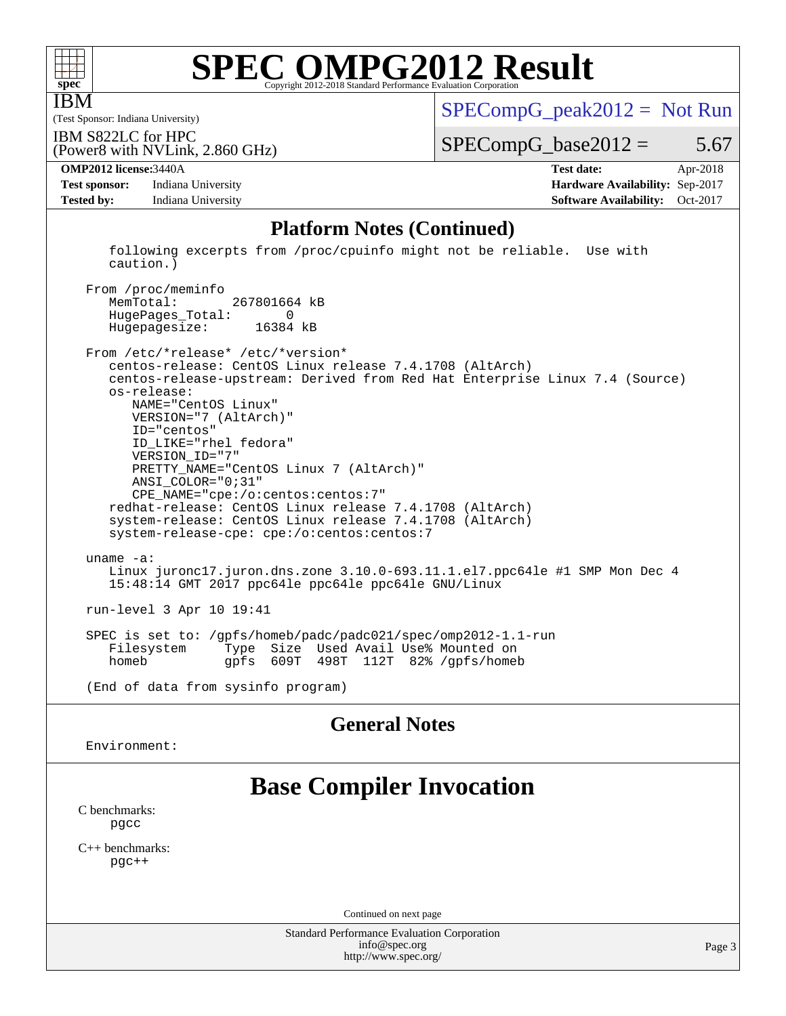

IBM

# **[SPEC OMPG2012 Result](http://www.spec.org/auto/omp2012/Docs/result-fields.html#SPECOMPG2012Result)**

(Test Sponsor: Indiana University)

 $SPECompG_peak2012 = Not Run$  $SPECompG_peak2012 = Not Run$ 

IBM S822LC for HPC

(Power8 with NVLink, 2.860 GHz)

 $SPECompG_base2012 = 5.67$  $SPECompG_base2012 = 5.67$ 

**[Test sponsor:](http://www.spec.org/auto/omp2012/Docs/result-fields.html#Testsponsor)** Indiana University **[Hardware Availability:](http://www.spec.org/auto/omp2012/Docs/result-fields.html#HardwareAvailability)** Sep-2017 **[Tested by:](http://www.spec.org/auto/omp2012/Docs/result-fields.html#Testedby)** Indiana University **[Software Availability:](http://www.spec.org/auto/omp2012/Docs/result-fields.html#SoftwareAvailability)** Oct-2017

**[OMP2012 license:](http://www.spec.org/auto/omp2012/Docs/result-fields.html#OMP2012license)**3440A **[Test date:](http://www.spec.org/auto/omp2012/Docs/result-fields.html#Testdate)** Apr-2018

#### **[Platform Notes \(Continued\)](http://www.spec.org/auto/omp2012/Docs/result-fields.html#PlatformNotes)**

 following excerpts from /proc/cpuinfo might not be reliable. Use with caution.)

 From /proc/meminfo MemTotal: 267801664 kB HugePages\_Total: 0 Hugepagesize: 16384 kB

 From /etc/\*release\* /etc/\*version\* centos-release: CentOS Linux release 7.4.1708 (AltArch) centos-release-upstream: Derived from Red Hat Enterprise Linux 7.4 (Source) os-release: NAME="CentOS Linux" VERSION="7 (AltArch)" ID="centos" ID\_LIKE="rhel fedora" VERSION\_ID="7" PRETTY\_NAME="CentOS Linux 7 (AltArch)" ANSI\_COLOR="0;31" CPE\_NAME="cpe:/o:centos:centos:7" redhat-release: CentOS Linux release 7.4.1708 (AltArch) system-release: CentOS Linux release 7.4.1708 (AltArch) system-release-cpe: cpe:/o:centos:centos:7 uname -a: Linux juronc17.juron.dns.zone 3.10.0-693.11.1.el7.ppc64le #1 SMP Mon Dec 4 15:48:14 GMT 2017 ppc64le ppc64le ppc64le GNU/Linux run-level 3 Apr 10 19:41 SPEC is set to: /gpfs/homeb/padc/padc021/spec/omp2012-1.1-run Type Size Used Avail Use% Mounted on

homeb gpfs 609T 498T 112T 82% /gpfs/homeb

(End of data from sysinfo program)

### **[General Notes](http://www.spec.org/auto/omp2012/Docs/result-fields.html#GeneralNotes)**

Environment:

## **[Base Compiler Invocation](http://www.spec.org/auto/omp2012/Docs/result-fields.html#BaseCompilerInvocation)**

[C benchmarks](http://www.spec.org/auto/omp2012/Docs/result-fields.html#Cbenchmarks): [pgcc](http://www.spec.org/omp2012/results/res2018q2/omp2012-20180605-00150.flags.html#user_CCbase_pgcc_l)

[C++ benchmarks:](http://www.spec.org/auto/omp2012/Docs/result-fields.html#CXXbenchmarks) [pgc++](http://www.spec.org/omp2012/results/res2018q2/omp2012-20180605-00150.flags.html#user_CXXbase_pgcpp_l_e5fc4a0ead554906661557a60ef932e8)

Continued on next page

Standard Performance Evaluation Corporation [info@spec.org](mailto:info@spec.org) <http://www.spec.org/>